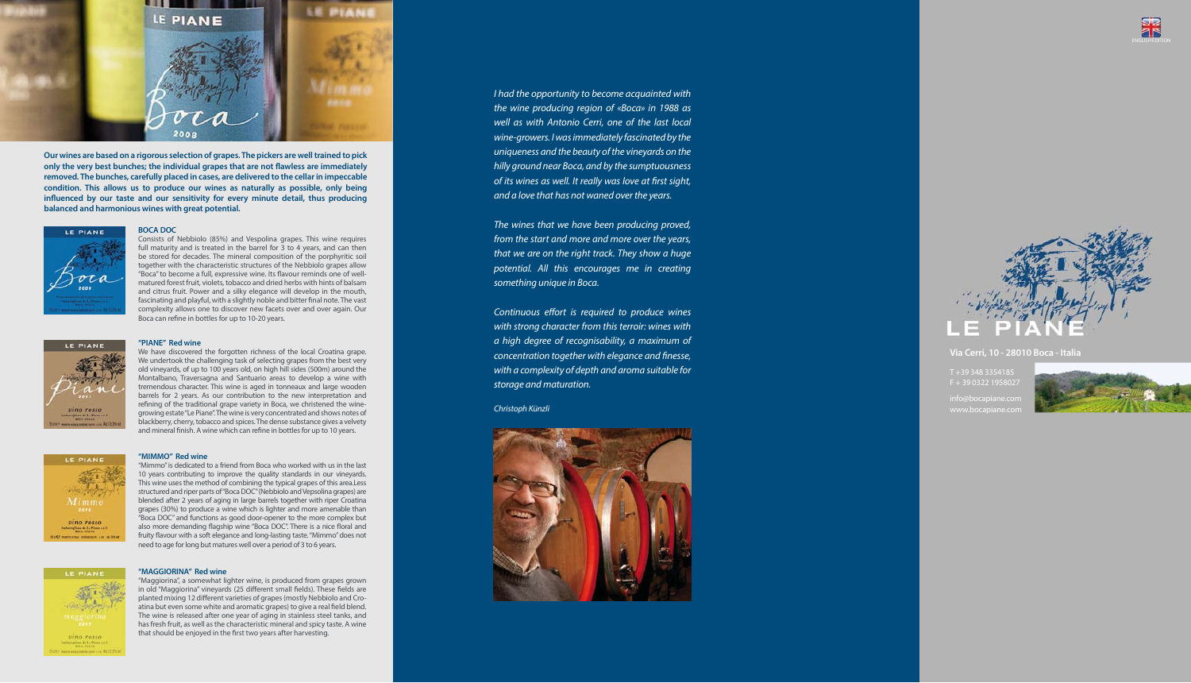*I had the opportunity to become acquainted with the wine producing region of «Boca» in 1988 as well as with Antonio Cerri, one of the last local wine-growers. I was immediately fascinated by the uniqueness and the beauty of the vineyards on the hilly ground near Boca, and by the sumptuousness of its wines as well. It really was love at first sight, and a love that has not waned over the years.* 

*Continuous effort is required to produce wines with strong character from this terroir: wines with a high degree of recognisability, a maximum of concentration together with elegance and nesse, with a complexity of depth and aroma suitable for storage and maturation.*

Consists of Nebbiolo (85%) and Vespolina grapes. This wine requires full maturity and is treated in the barrel for 3 to 4 years, and can then be stored for decades. The mineral composition of the porphyritic soil together with the characteristic structures of the Nebbiolo grapes allow "Boca" to become a full, expressive wine. Its flavour reminds one of wellmatured forest fruit, violets, tobacco and dried herbs with hints of balsam and citrus fruit. Power and a silky elegance will develop in the mouth, fascinating and playful, with a slightly noble and bitter final note. The vast complexity allows one to discover new facets over and over again. Our Boca can refine in bottles for up to 10-20 years.



*The wines that we have been producing proved, from the start and more and more over the years, that we are on the right track. They show a huge potential. All this encourages me in creating something unique in Boca.* 

We have discovered the forgotten richness of the local Croatina grape. We undertook the challenging task of selecting grapes from the best very old vineyards, of up to 100 years old, on high hill sides (500m) around the Montalbano, Traversagna and Santuario areas to develop a wine with tremendous character. This wine is aged in tonneaux and large wooden barrels for 2 years. As our contribution to the new interpretation and refining of the traditional grape variety in Boca, we christened the winegrowing estate "Le Piane". The wine is very concentrated and shows notes of blackberry, cherry, tobacco and spices. The dense substance gives a velvety and mineral finish. A wine which can refine in bottles for up to 10 years.



### *Christoph Künzli*







### **BOCA DOC**

"Maggiorina", a somewhat lighter wine, is produced from grapes grown in old "Maggiorina" vineyards (25 different small fields). These fields are planted mixing 12 different varieties of grapes (mostly Nebbiolo and Croatina but even some white and aromatic grapes) to give a real field blend. The wine is released after one year of aging in stainless steel tanks, and has fresh fruit, as well as the characteristic mineral and spicy taste. A wine that should be enjoyed in the first two years after harvesting.

#### **"PIANE" Red wine**

T +39 348 3354185  $F + 3903221958027$ 

nfo@bocapiane.co ww.bocapiane.co



### **"MIMMO" Red wine**

"Mimmo" is dedicated to a friend from Boca who worked with us in the last 10 years contributing to improve the quality standards in our vineyards. This wine uses the method of combining the typical grapes of this area.Less structured and riper parts of "Boca DOC" (Nebbiolo and Vepsolina grapes) are blended after 2 years of aging in large barrels together with riper Croatina grapes (30%) to produce a wine which is lighter and more amenable than "Boca DOC" and functions as good door-opener to the more complex but also more demanding flagship wine "Boca DOC". There is a nice floral and fruity flavour with a soft elegance and long-lasting taste. "Mimmo" does not need to age for long but matures well over a period of 3 to 6 years.





vino rosso

#### **"MAGGIORINA" Red wine**



**Our wines are based on a rigorous selection of grapes. The pickers are well trained to pick**  only the very best bunches; the individual grapes that are not flawless are immediately **removed. The bunches, carefully placed in cases, are delivered to the cellar in impeccable condition. This allows us to produce our wines as naturally as possible, only being**  influenced by our taste and our sensitivity for every minute detail, thus producing **balanced and harmonious wines with great potential.**



### **Via Cerri, 10 - 28010 Boca - Italia**